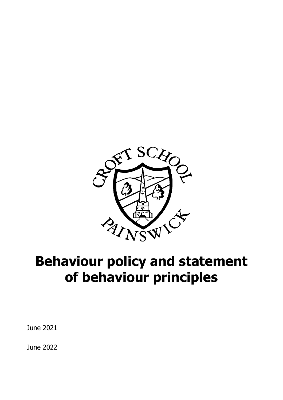

# **Behaviour policy and statement of behaviour principles**

June 2021

June 2022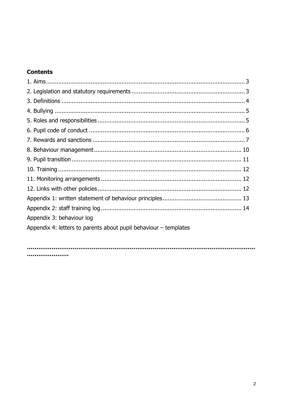# **Contents**

| Appendix 3: behaviour log                                          |
|--------------------------------------------------------------------|
| Appendix 4: letters to parents about pupil behaviour $-$ templates |
|                                                                    |
|                                                                    |

.....................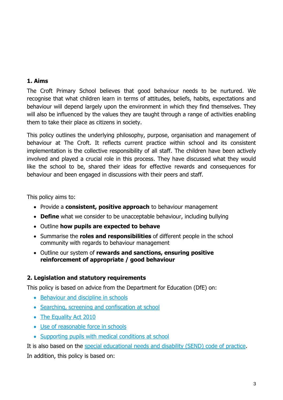# **1. Aims**

The Croft Primary School believes that good behaviour needs to be nurtured. We recognise that what children learn in terms of attitudes, beliefs, habits, expectations and behaviour will depend largely upon the environment in which they find themselves. They will also be influenced by the values they are taught through a range of activities enabling them to take their place as citizens in society.

This policy outlines the underlying philosophy, purpose, organisation and management of behaviour at The Croft. It reflects current practice within school and its consistent implementation is the collective responsibility of all staff. The children have been actively involved and played a crucial role in this process. They have discussed what they would like the school to be, shared their ideas for effective rewards and consequences for behaviour and been engaged in discussions with their peers and staff.

This policy aims to:

- Provide a **consistent, positive approach** to behaviour management
- **Define** what we consider to be unacceptable behaviour, including bullying
- Outline **how pupils are expected to behave**
- Summarise the **roles and responsibilities** of different people in the school community with regards to behaviour management
- Outline our system of **rewards and sanctions, ensuring positive reinforcement of appropriate / good behaviour**

# **2. Legislation and statutory requirements**

This policy is based on advice from the Department for Education (DfE) on:

- [Behaviour and discipline in schools](https://www.gov.uk/government/publications/behaviour-and-discipline-in-schools)
- [Searching, screening and confiscation at school](https://www.gov.uk/government/publications/searching-screening-and-confiscation)
- [The Equality Act 2010](https://www.gov.uk/government/publications/equality-act-2010-advice-for-schools)
- [Use of reasonable force in schools](https://www.gov.uk/government/publications/use-of-reasonable-force-in-schools)
- [Supporting pupils with medical conditions at school](https://www.gov.uk/government/publications/supporting-pupils-at-school-with-medical-conditions--3)

It is also based on the [special educational needs and disability \(SEND\) code of practice.](https://www.gov.uk/government/publications/send-code-of-practice-0-to-25) In addition, this policy is based on: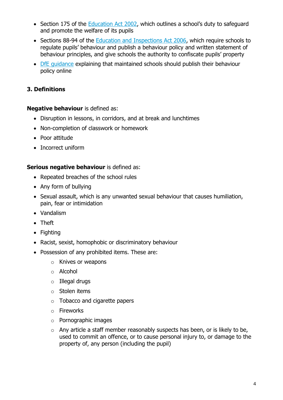- Section 175 of the [Education Act 2002](http://www.legislation.gov.uk/ukpga/2002/32/section/175), which outlines a school's duty to safeguard and promote the welfare of its pupils
- Sections 88-94 of the [Education and Inspections Act 2006,](http://www.legislation.gov.uk/ukpga/2006/40/section/88) which require schools to regulate pupils' behaviour and publish a behaviour policy and written statement of behaviour principles, and give schools the authority to confiscate pupils' property
- [DfE guidance](https://www.gov.uk/guidance/what-maintained-schools-must-publish-online#behaviour-policy) explaining that maintained schools should publish their behaviour policy online

# **3. Definitions**

#### **Negative behaviour** is defined as:

- Disruption in lessons, in corridors, and at break and lunchtimes
- Non-completion of classwork or homework
- Poor attitude
- Incorrect uniform

#### **Serious negative behaviour** is defined as:

- Repeated breaches of the school rules
- Any form of bullying
- Sexual assault, which is any unwanted sexual behaviour that causes humiliation, pain, fear or intimidation
- Vandalism
- Theft
- Fighting
- Racist, sexist, homophobic or discriminatory behaviour
- Possession of any prohibited items. These are:
	- o Knives or weapons
	- o Alcohol
	- o Illegal drugs
	- o Stolen items
	- o Tobacco and cigarette papers
	- o Fireworks
	- o Pornographic images
	- $\circ$  Any article a staff member reasonably suspects has been, or is likely to be, used to commit an offence, or to cause personal injury to, or damage to the property of, any person (including the pupil)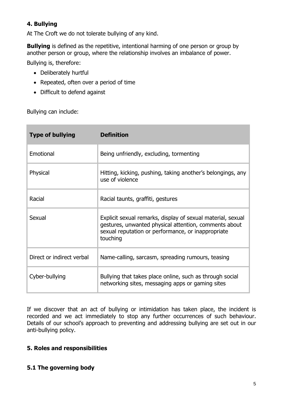# **4. Bullying**

At The Croft we do not tolerate bullying of any kind.

**Bullying** is defined as the repetitive, intentional harming of one person or group by another person or group, where the relationship involves an imbalance of power.

Bullying is, therefore:

- Deliberately hurtful
- Repeated, often over a period of time
- Difficult to defend against

Bullying can include:

| <b>Type of bullying</b>   | <b>Definition</b>                                                                                                                                                                      |
|---------------------------|----------------------------------------------------------------------------------------------------------------------------------------------------------------------------------------|
| Emotional                 | Being unfriendly, excluding, tormenting                                                                                                                                                |
| Physical                  | Hitting, kicking, pushing, taking another's belongings, any<br>use of violence                                                                                                         |
| Racial                    | Racial taunts, graffiti, gestures                                                                                                                                                      |
| Sexual                    | Explicit sexual remarks, display of sexual material, sexual<br>gestures, unwanted physical attention, comments about<br>sexual reputation or performance, or inappropriate<br>touching |
| Direct or indirect verbal | Name-calling, sarcasm, spreading rumours, teasing                                                                                                                                      |
| Cyber-bullying            | Bullying that takes place online, such as through social<br>networking sites, messaging apps or gaming sites                                                                           |

If we discover that an act of bullying or intimidation has taken place, the incident is recorded and we act immediately to stop any further occurrences of such behaviour. Details of our school's approach to preventing and addressing bullying are set out in our anti-bullying policy.

#### **5. Roles and responsibilities**

#### **5.1 The governing body**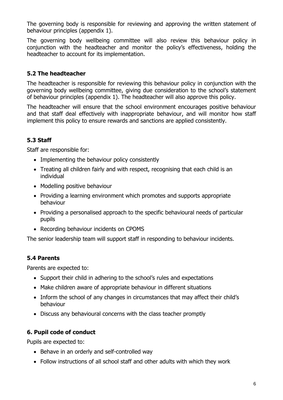The governing body is responsible for reviewing and approving the written statement of behaviour principles (appendix 1).

The governing body wellbeing committee will also review this behaviour policy in conjunction with the headteacher and monitor the policy's effectiveness, holding the headteacher to account for its implementation.

# **5.2 The headteacher**

The headteacher is responsible for reviewing this behaviour policy in conjunction with the governing body wellbeing committee, giving due consideration to the school's statement of behaviour principles (appendix 1). The headteacher will also approve this policy.

The headteacher will ensure that the school environment encourages positive behaviour and that staff deal effectively with inappropriate behaviour, and will monitor how staff implement this policy to ensure rewards and sanctions are applied consistently.

# **5.3 Staff**

Staff are responsible for:

- Implementing the behaviour policy consistently
- Treating all children fairly and with respect, recognising that each child is an individual
- Modelling positive behaviour
- Providing a learning environment which promotes and supports appropriate behaviour
- Providing a personalised approach to the specific behavioural needs of particular pupils
- Recording behaviour incidents on CPOMS

The senior leadership team will support staff in responding to behaviour incidents.

#### **5.4 Parents**

Parents are expected to:

- Support their child in adhering to the school's rules and expectations
- Make children aware of appropriate behaviour in different situations
- Inform the school of any changes in circumstances that may affect their child's behaviour
- Discuss any behavioural concerns with the class teacher promptly

#### **6. Pupil code of conduct**

Pupils are expected to:

- Behave in an orderly and self-controlled way
- Follow instructions of all school staff and other adults with which they work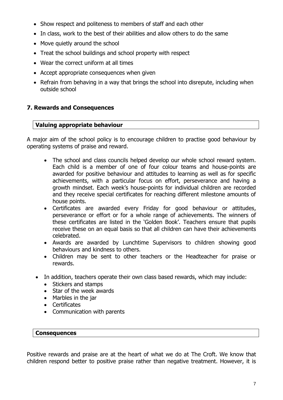- Show respect and politeness to members of staff and each other
- In class, work to the best of their abilities and allow others to do the same
- Move quietly around the school
- Treat the school buildings and school property with respect
- Wear the correct uniform at all times
- Accept appropriate consequences when given
- Refrain from behaving in a way that brings the school into disrepute, including when outside school

#### **7. Rewards and Consequences**

#### **Valuing appropriate behaviour**

A major aim of the school policy is to encourage children to practise good behaviour by operating systems of praise and reward.

- The school and class councils helped develop our whole school reward system. Each child is a member of one of four colour teams and house-points are awarded for positive behaviour and attitudes to learning as well as for specific achievements, with a particular focus on effort, perseverance and having a growth mindset. Each week's house-points for individual children are recorded and they receive special certificates for reaching different milestone amounts of house points.
- Certificates are awarded every Friday for good behaviour or attitudes, perseverance or effort or for a whole range of achievements. The winners of these certificates are listed in the 'Golden Book'. Teachers ensure that pupils receive these on an equal basis so that all children can have their achievements celebrated.
- Awards are awarded by Lunchtime Supervisors to children showing good behaviours and kindness to others.
- Children may be sent to other teachers or the Headteacher for praise or rewards.
- In addition, teachers operate their own class based rewards, which may include:
	- Stickers and stamps
	- Star of the week awards
	- Marbles in the jar
	- Certificates
	- Communication with parents

#### **Consequences**

Positive rewards and praise are at the heart of what we do at The Croft. We know that children respond better to positive praise rather than negative treatment. However, it is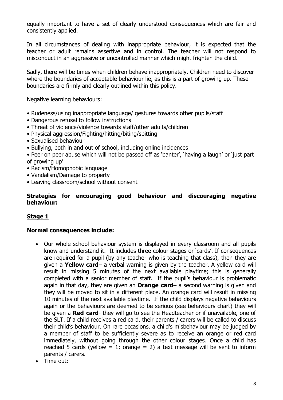equally important to have a set of clearly understood consequences which are fair and consistently applied.

In all circumstances of dealing with inappropriate behaviour, it is expected that the teacher or adult remains assertive and in control. The teacher will not respond to misconduct in an aggressive or uncontrolled manner which might frighten the child.

Sadly, there will be times when children behave inappropriately. Children need to discover where the boundaries of acceptable behaviour lie, as this is a part of growing up. These boundaries are firmly and clearly outlined within this policy.

Negative learning behaviours:

- Rudeness/using inappropriate language/ gestures towards other pupils/staff
- Dangerous refusal to follow instructions
- Threat of violence/violence towards staff/other adults/children
- Physical aggression/Fighting/hitting/biting/spitting
- Sexualised behaviour
- Bullying, both in and out of school, including online incidences

• Peer on peer abuse which will not be passed off as 'banter', 'having a laugh' or 'just part of growing up'

- Racism/Homophobic language
- Vandalism/Damage to property
- Leaving classroom/school without consent

#### **Strategies for encouraging good behaviour and discouraging negative behaviour:**

#### **Stage 1**

#### **Normal consequences include:**

- Our whole school behaviour system is displayed in every classroom and all pupils know and understand it. It includes three colour stages or 'cards'. If consequences are required for a pupil (by any teacher who is teaching that class), then they are given a **Yellow card**– a verbal warning is given by the teacher. A yellow card will result in missing 5 minutes of the next available playtime; this is generally completed with a senior member of staff. If the pupil's behaviour is problematic again in that day, they are given an **Orange card**– a second warning is given and they will be moved to sit in a different place. An orange card will result in missing 10 minutes of the next available playtime. If the child displays negative behaviours again or the behaviours are deemed to be serious (see behaviours chart) they will be given a **Red card**- they will go to see the Headteacher or if unavailable, one of the SLT. If a child receives a red card, their parents / carers will be called to discuss their child's behaviour. On rare occasions, a child's misbehaviour may be judged by a member of staff to be sufficiently severe as to receive an orange or red card immediately, without going through the other colour stages. Once a child has reached 5 cards (yellow = 1; orange = 2) a text message will be sent to inform parents / carers.
- Time out: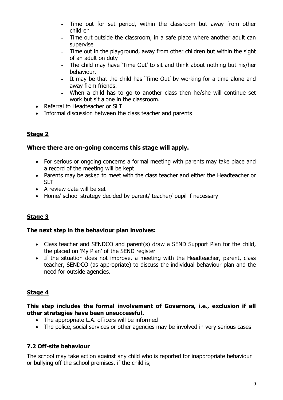- Time out for set period, within the classroom but away from other children
- Time out outside the classroom, in a safe place where another adult can supervise
- Time out in the playground, away from other children but within the sight of an adult on duty
- The child may have 'Time Out' to sit and think about nothing but his/her behaviour.
- It may be that the child has 'Time Out' by working for a time alone and away from friends.
- When a child has to go to another class then he/she will continue set work but sit alone in the classroom.
- Referral to Headteacher or SLT
- Informal discussion between the class teacher and parents

# **Stage 2**

# **Where there are on-going concerns this stage will apply.**

- For serious or ongoing concerns a formal meeting with parents may take place and a record of the meeting will be kept
- Parents may be asked to meet with the class teacher and either the Headteacher or SLT
- A review date will be set
- Home/ school strategy decided by parent/ teacher/ pupil if necessary

# **Stage 3**

# **The next step in the behaviour plan involves:**

- Class teacher and SENDCO and parent(s) draw a SEND Support Plan for the child, the placed on 'My Plan' of the SEND register
- If the situation does not improve, a meeting with the Headteacher, parent, class teacher, SENDCO (as appropriate) to discuss the individual behaviour plan and the need for outside agencies.

# **Stage 4**

#### **This step includes the formal involvement of Governors, i.e., exclusion if all other strategies have been unsuccessful.**

- The appropriate L.A. officers will be informed
- The police, social services or other agencies may be involved in very serious cases

# **7.2 Off-site behaviour**

The school may take action against any child who is reported for inappropriate behaviour or bullying off the school premises, if the child is;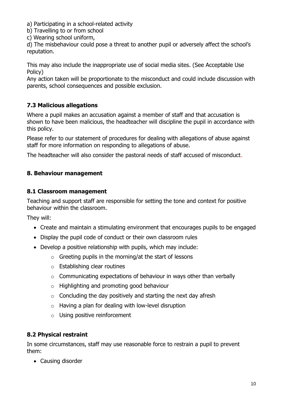a) Participating in a school-related activity

- b) Travelling to or from school
- c) Wearing school uniform,

d) The misbehaviour could pose a threat to another pupil or adversely affect the school's reputation.

This may also include the inappropriate use of social media sites. (See Acceptable Use Policy)

Any action taken will be proportionate to the misconduct and could include discussion with parents, school consequences and possible exclusion.

# **7.3 Malicious allegations**

Where a pupil makes an accusation against a member of staff and that accusation is shown to have been malicious, the headteacher will discipline the pupil in accordance with this policy.

Please refer to our statement of procedures for dealing with allegations of abuse against staff for more information on responding to allegations of abuse.

The headteacher will also consider the pastoral needs of staff accused of misconduct.

# **8. Behaviour management**

#### **8.1 Classroom management**

Teaching and support staff are responsible for setting the tone and context for positive behaviour within the classroom.

They will:

- Create and maintain a stimulating environment that encourages pupils to be engaged
- Display the pupil code of conduct or their own classroom rules
- Develop a positive relationship with pupils, which may include:
	- $\circ$  Greeting pupils in the morning/at the start of lessons
	- o Establishing clear routines
	- $\circ$  Communicating expectations of behaviour in ways other than verbally
	- o Highlighting and promoting good behaviour
	- $\circ$  Concluding the day positively and starting the next day afresh
	- $\circ$  Having a plan for dealing with low-level disruption
	- o Using positive reinforcement

#### **8.2 Physical restraint**

In some circumstances, staff may use reasonable force to restrain a pupil to prevent them:

• Causing disorder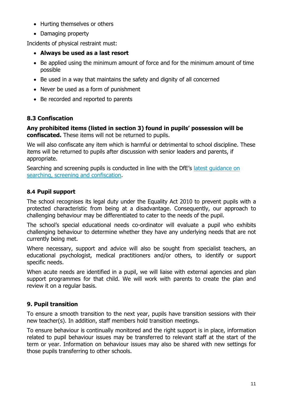- Hurting themselves or others
- Damaging property

Incidents of physical restraint must:

- **Always be used as a last resort**
- Be applied using the minimum amount of force and for the minimum amount of time possible
- Be used in a way that maintains the safety and dignity of all concerned
- Never be used as a form of punishment
- Be recorded and reported to parents

# **8.3 Confiscation**

**Any prohibited items (listed in section 3) found in pupils' possession will be confiscated.** These items will not be returned to pupils.

We will also confiscate any item which is harmful or detrimental to school discipline. These items will be returned to pupils after discussion with senior leaders and parents, if appropriate.

Searching and screening pupils is conducted in line with the DfE's latest quidance on [searching, screening and confiscation.](https://www.gov.uk/government/publications/searching-screening-and-confiscation)

# **8.4 Pupil support**

The school recognises its legal duty under the Equality Act 2010 to prevent pupils with a protected characteristic from being at a disadvantage. Consequently, our approach to challenging behaviour may be differentiated to cater to the needs of the pupil.

The school's special educational needs co-ordinator will evaluate a pupil who exhibits challenging behaviour to determine whether they have any underlying needs that are not currently being met.

Where necessary, support and advice will also be sought from specialist teachers, an educational psychologist, medical practitioners and/or others, to identify or support specific needs.

When acute needs are identified in a pupil, we will liaise with external agencies and plan support programmes for that child. We will work with parents to create the plan and review it on a regular basis.

# **9. Pupil transition**

To ensure a smooth transition to the next year, pupils have transition sessions with their new teacher(s). In addition, staff members hold transition meetings.

To ensure behaviour is continually monitored and the right support is in place, information related to pupil behaviour issues may be transferred to relevant staff at the start of the term or year. Information on behaviour issues may also be shared with new settings for those pupils transferring to other schools.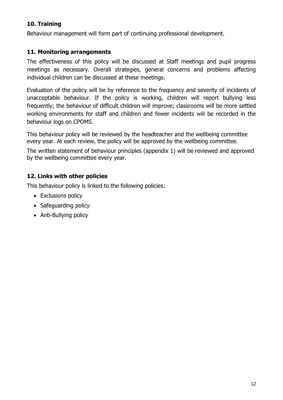# **10. Training**

Behaviour management will form part of continuing professional development.

#### **11. Monitoring arrangements**

The effectiveness of this policy will be discussed at Staff meetings and pupil progress meetings as necessary. Overall strategies, general concerns and problems affecting individual children can be discussed at these meetings.

Evaluation of the policy will be by reference to the frequency and severity of incidents of unacceptable behaviour. If the policy is working, children will report bullying less frequently; the behaviour of difficult children will improve; classrooms will be more settled working environments for staff and children and fewer incidents will be recorded in the behaviour logs on CPOMS.

This behaviour policy will be reviewed by the headteacher and the wellbeing committee every year. At each review, the policy will be approved by the wellbeing committee.

The written statement of behaviour principles (appendix 1) will be reviewed and approved by the wellbeing committee every year.

# **12. Links with other policies**

This behaviour policy is linked to the following policies:

- Exclusions policy
- Safeguarding policy
- Anti-Bullying policy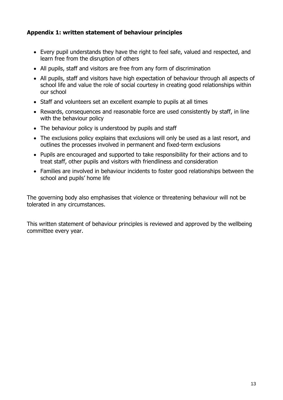#### **Appendix 1: written statement of behaviour principles**

- Every pupil understands they have the right to feel safe, valued and respected, and learn free from the disruption of others
- All pupils, staff and visitors are free from any form of discrimination
- All pupils, staff and visitors have high expectation of behaviour through all aspects of school life and value the role of social courtesy in creating good relationships within our school
- Staff and volunteers set an excellent example to pupils at all times
- Rewards, consequences and reasonable force are used consistently by staff, in line with the behaviour policy
- The behaviour policy is understood by pupils and staff
- The exclusions policy explains that exclusions will only be used as a last resort, and outlines the processes involved in permanent and fixed-term exclusions
- Pupils are encouraged and supported to take responsibility for their actions and to treat staff, other pupils and visitors with friendliness and consideration
- Families are involved in behaviour incidents to foster good relationships between the school and pupils' home life

The governing body also emphasises that violence or threatening behaviour will not be tolerated in any circumstances.

This written statement of behaviour principles is reviewed and approved by the wellbeing committee every year.